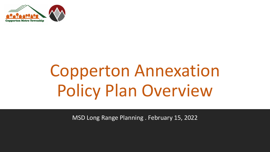

# Copperton Annexation Policy Plan Overview

MSD Long Range Planning . February 15, 2022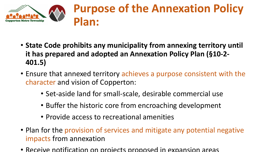

#### **Purpose of the Annexation Policy Plan:**

- **State Code prohibits any municipality from annexing territory until it has prepared and adopted an Annexation Policy Plan (§10-2- 401.5)**
- Ensure that annexed territory achieves a purpose consistent with the character and vision of Copperton:
	- Set-aside land for small-scale, desirable commercial use
	- Buffer the historic core from encroaching development
	- Provide access to recreational amenities
- Plan for the provision of services and mitigate any potential negative impacts from annexation
- Receive notification on projects proposed in expansion areas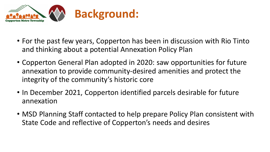

- For the past few years, Copperton has been in discussion with Rio Tinto and thinking about a potential Annexation Policy Plan
- Copperton General Plan adopted in 2020: saw opportunities for future annexation to provide community-desired amenities and protect the integrity of the community's historic core
- In December 2021, Copperton identified parcels desirable for future annexation
- MSD Planning Staff contacted to help prepare Policy Plan consistent with State Code and reflective of Copperton's needs and desires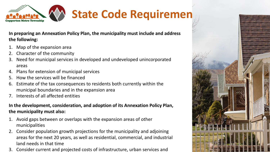

#### **State Code Requirement**

**In preparing an Annexation Policy Plan, the municipality must include and address the following:** 

- Map of the expansion area
- 2. Character of the community
- 3. Need for municipal services in developed and undeveloped unincorporated areas
- 4. Plans for extension of municipal services
- 5. How the services will be financed
- 6. Estimate of the tax consequences to residents both currently within the municipal boundaries and in the expansion area
- 7. Interests of all affected entities

#### **In the development, consideration, and adoption of its Annexation Policy Plan, the municipality must also:**

- 1. Avoid gaps between or overlaps with the expansion areas of other municipalities
- 2. Consider population growth projections for the municipality and adjoining areas for the next 20 years, as well as residential, commercial, and industrial land needs in that time
- 3. Consider current and projected costs of infrastructure, urban services and

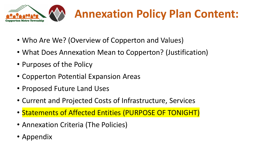

### **Annexation Policy Plan Content:**

- Who Are We? (Overview of Copperton and Values)
- What Does Annexation Mean to Copperton? (Justification)
- Purposes of the Policy
- Copperton Potential Expansion Areas
- Proposed Future Land Uses
- Current and Projected Costs of Infrastructure, Services
- Statements of Affected Entities (PURPOSE OF TONIGHT)
- Annexation Criteria (The Policies)
- Appendix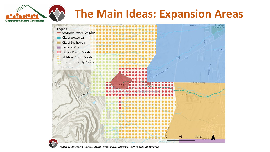## **The Main Ideas: Expansion Areas**



Prepared by the Greater Salt Lake Municipal Services District, Long Range Planning Team (January 2022).

**Copperton Metro Township**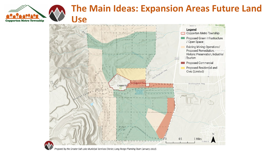

#### **The Main Ideas: Expansion Areas Future Land Use**

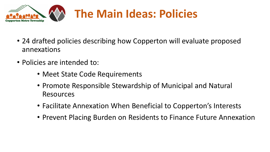

### **The Main Ideas: Policies**

- 24 drafted policies describing how Copperton will evaluate proposed annexations
- Policies are intended to:
	- Meet State Code Requirements
	- Promote Responsible Stewardship of Municipal and Natural Resources
	- Facilitate Annexation When Beneficial to Copperton's Interests
	- Prevent Placing Burden on Residents to Finance Future Annexation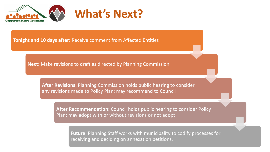

**Tonight and 10 days after:** Receive comment from Affected Entities

**Next:** Make revisions to draft as directed by Planning Commission

**After Revisions:** Planning Commission holds public hearing to consider any revisions made to Policy Plan; may recommend to Council

**After Recommendation:** Council holds public hearing to consider Policy Plan; may adopt with or without revisions or not adopt

**Future**: Planning Staff works with municipality to codify processes for receiving and deciding on annexation petitions.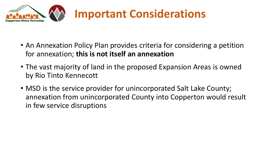

- An Annexation Policy Plan provides criteria for considering a petition for annexation; **this is not itself an annexation**
- The vast majority of land in the proposed Expansion Areas is owned by Rio Tinto Kennecott
- MSD is the service provider for unincorporated Salt Lake County; annexation from unincorporated County into Copperton would result in few service disruptions